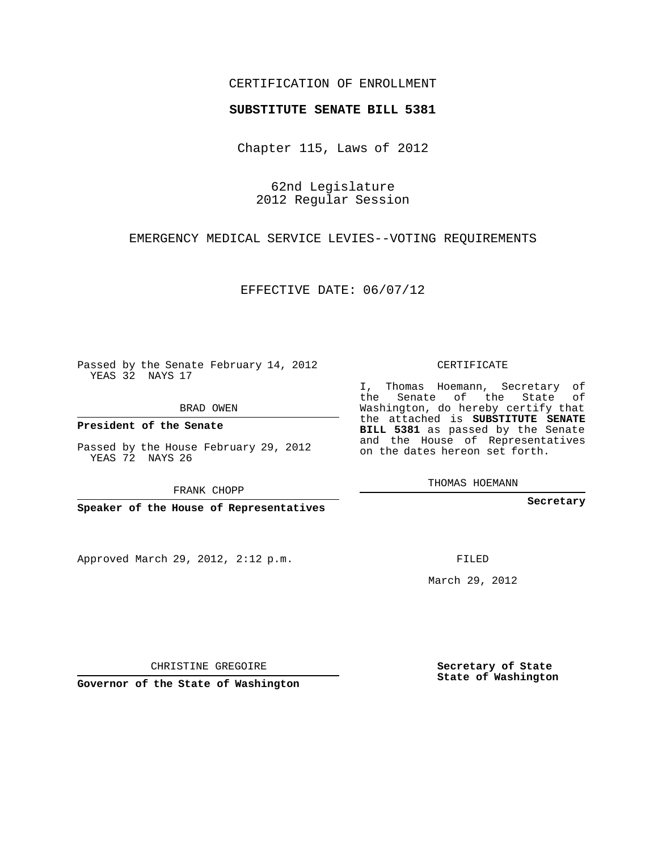## CERTIFICATION OF ENROLLMENT

## **SUBSTITUTE SENATE BILL 5381**

Chapter 115, Laws of 2012

62nd Legislature 2012 Regular Session

EMERGENCY MEDICAL SERVICE LEVIES--VOTING REQUIREMENTS

EFFECTIVE DATE: 06/07/12

Passed by the Senate February 14, 2012 YEAS 32 NAYS 17

BRAD OWEN

**President of the Senate**

Passed by the House February 29, 2012 YEAS 72 NAYS 26

FRANK CHOPP

**Speaker of the House of Representatives**

Approved March 29, 2012, 2:12 p.m.

CERTIFICATE

I, Thomas Hoemann, Secretary of the Senate of the State of Washington, do hereby certify that the attached is **SUBSTITUTE SENATE BILL 5381** as passed by the Senate and the House of Representatives on the dates hereon set forth.

THOMAS HOEMANN

**Secretary**

FILED

March 29, 2012

**Secretary of State State of Washington**

CHRISTINE GREGOIRE

**Governor of the State of Washington**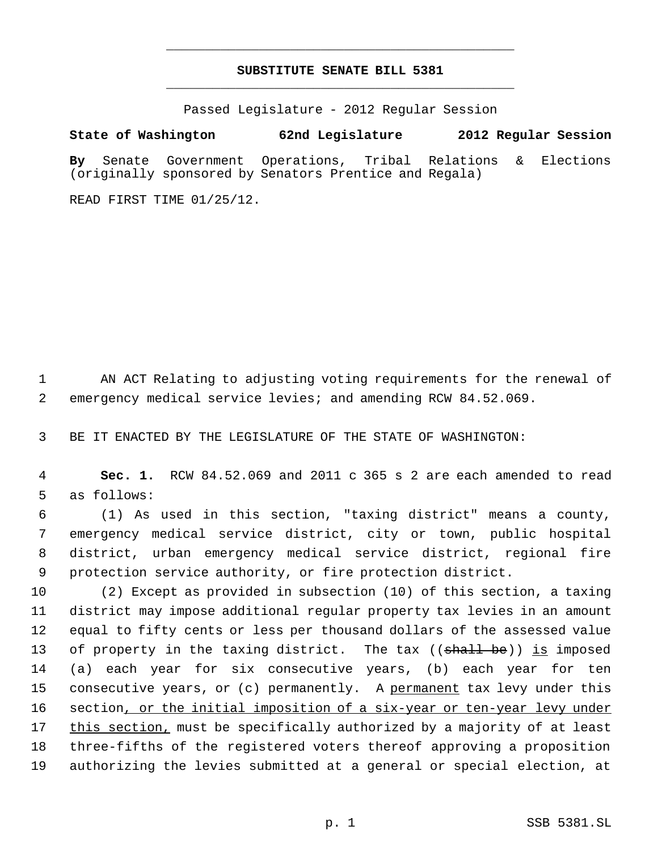## **SUBSTITUTE SENATE BILL 5381** \_\_\_\_\_\_\_\_\_\_\_\_\_\_\_\_\_\_\_\_\_\_\_\_\_\_\_\_\_\_\_\_\_\_\_\_\_\_\_\_\_\_\_\_\_

\_\_\_\_\_\_\_\_\_\_\_\_\_\_\_\_\_\_\_\_\_\_\_\_\_\_\_\_\_\_\_\_\_\_\_\_\_\_\_\_\_\_\_\_\_

Passed Legislature - 2012 Regular Session

## **State of Washington 62nd Legislature 2012 Regular Session**

**By** Senate Government Operations, Tribal Relations & Elections (originally sponsored by Senators Prentice and Regala)

READ FIRST TIME 01/25/12.

 1 AN ACT Relating to adjusting voting requirements for the renewal of 2 emergency medical service levies; and amending RCW 84.52.069.

3 BE IT ENACTED BY THE LEGISLATURE OF THE STATE OF WASHINGTON:

 4 **Sec. 1.** RCW 84.52.069 and 2011 c 365 s 2 are each amended to read 5 as follows:

 (1) As used in this section, "taxing district" means a county, emergency medical service district, city or town, public hospital district, urban emergency medical service district, regional fire protection service authority, or fire protection district.

10 (2) Except as provided in subsection (10) of this section, a taxing 11 district may impose additional regular property tax levies in an amount 12 equal to fifty cents or less per thousand dollars of the assessed value 13 of property in the taxing district. The tax ((shall be)) is imposed 14 (a) each year for six consecutive years, (b) each year for ten 15 consecutive years, or (c) permanently. A <u>permanent</u> tax levy under this 16 section, or the initial imposition of a six-year or ten-year levy under 17 this section, must be specifically authorized by a majority of at least 18 three-fifths of the registered voters thereof approving a proposition 19 authorizing the levies submitted at a general or special election, at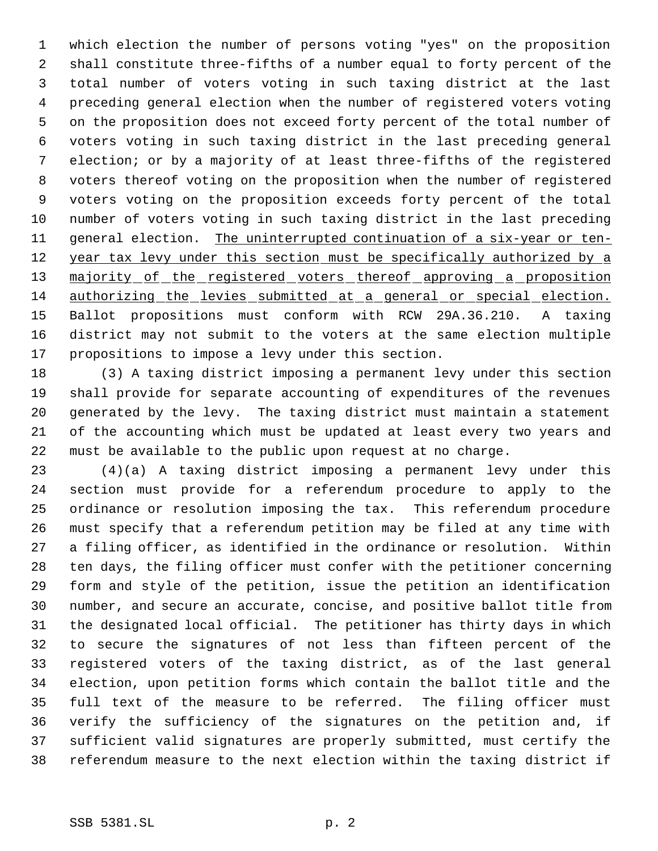which election the number of persons voting "yes" on the proposition shall constitute three-fifths of a number equal to forty percent of the total number of voters voting in such taxing district at the last preceding general election when the number of registered voters voting on the proposition does not exceed forty percent of the total number of voters voting in such taxing district in the last preceding general election; or by a majority of at least three-fifths of the registered voters thereof voting on the proposition when the number of registered voters voting on the proposition exceeds forty percent of the total number of voters voting in such taxing district in the last preceding 11 general election. The uninterrupted continuation of a six-year or ten-12 year tax levy under this section must be specifically authorized by a 13 majority of the registered voters thereof approving a proposition authorizing the levies submitted at a general or special election. Ballot propositions must conform with RCW 29A.36.210. A taxing district may not submit to the voters at the same election multiple propositions to impose a levy under this section.

 (3) A taxing district imposing a permanent levy under this section shall provide for separate accounting of expenditures of the revenues generated by the levy. The taxing district must maintain a statement of the accounting which must be updated at least every two years and must be available to the public upon request at no charge.

 (4)(a) A taxing district imposing a permanent levy under this section must provide for a referendum procedure to apply to the ordinance or resolution imposing the tax. This referendum procedure must specify that a referendum petition may be filed at any time with a filing officer, as identified in the ordinance or resolution. Within ten days, the filing officer must confer with the petitioner concerning form and style of the petition, issue the petition an identification number, and secure an accurate, concise, and positive ballot title from the designated local official. The petitioner has thirty days in which to secure the signatures of not less than fifteen percent of the registered voters of the taxing district, as of the last general election, upon petition forms which contain the ballot title and the full text of the measure to be referred. The filing officer must verify the sufficiency of the signatures on the petition and, if sufficient valid signatures are properly submitted, must certify the referendum measure to the next election within the taxing district if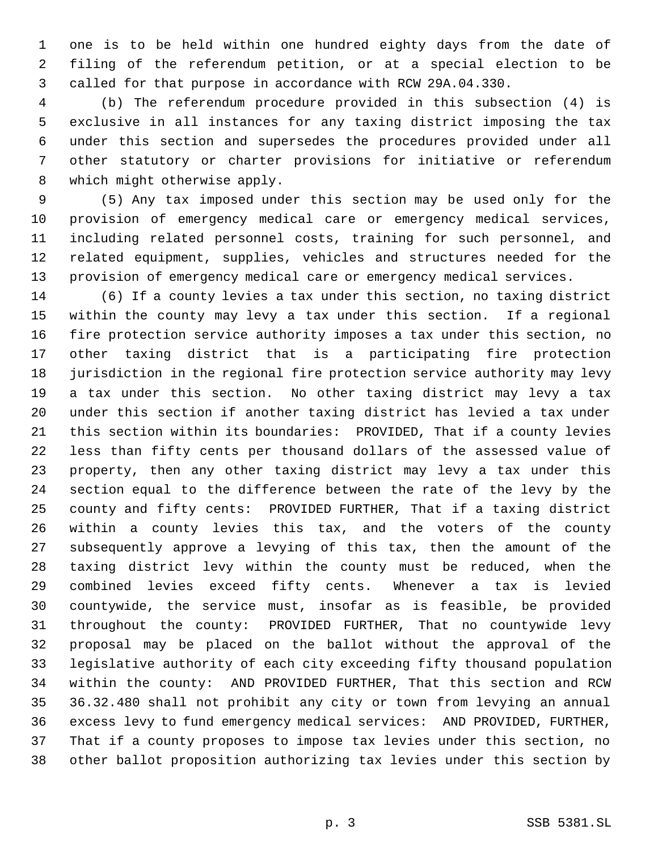one is to be held within one hundred eighty days from the date of filing of the referendum petition, or at a special election to be called for that purpose in accordance with RCW 29A.04.330.

 (b) The referendum procedure provided in this subsection (4) is exclusive in all instances for any taxing district imposing the tax under this section and supersedes the procedures provided under all other statutory or charter provisions for initiative or referendum which might otherwise apply.

 (5) Any tax imposed under this section may be used only for the provision of emergency medical care or emergency medical services, including related personnel costs, training for such personnel, and related equipment, supplies, vehicles and structures needed for the provision of emergency medical care or emergency medical services.

 (6) If a county levies a tax under this section, no taxing district within the county may levy a tax under this section. If a regional fire protection service authority imposes a tax under this section, no other taxing district that is a participating fire protection jurisdiction in the regional fire protection service authority may levy a tax under this section. No other taxing district may levy a tax under this section if another taxing district has levied a tax under this section within its boundaries: PROVIDED, That if a county levies less than fifty cents per thousand dollars of the assessed value of property, then any other taxing district may levy a tax under this section equal to the difference between the rate of the levy by the county and fifty cents: PROVIDED FURTHER, That if a taxing district within a county levies this tax, and the voters of the county subsequently approve a levying of this tax, then the amount of the taxing district levy within the county must be reduced, when the combined levies exceed fifty cents. Whenever a tax is levied countywide, the service must, insofar as is feasible, be provided throughout the county: PROVIDED FURTHER, That no countywide levy proposal may be placed on the ballot without the approval of the legislative authority of each city exceeding fifty thousand population within the county: AND PROVIDED FURTHER, That this section and RCW 36.32.480 shall not prohibit any city or town from levying an annual excess levy to fund emergency medical services: AND PROVIDED, FURTHER, That if a county proposes to impose tax levies under this section, no other ballot proposition authorizing tax levies under this section by